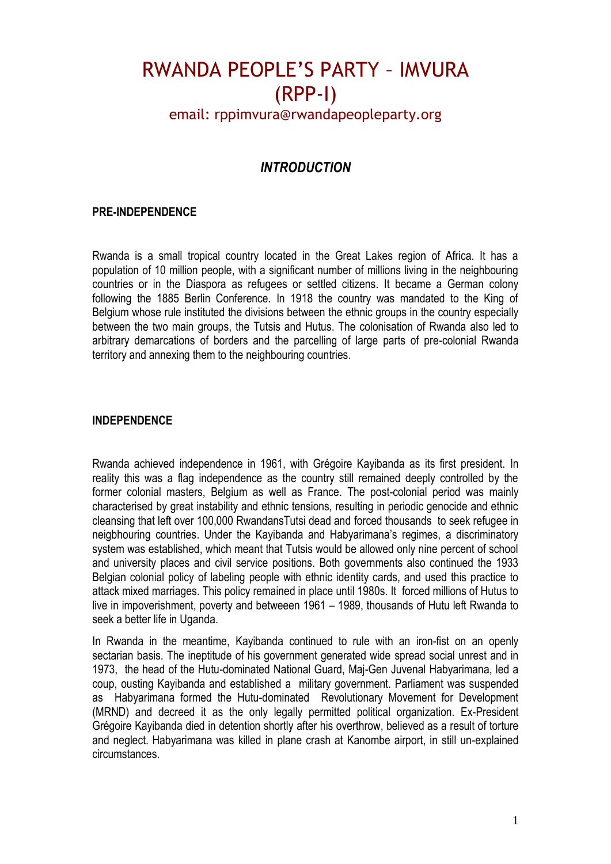### email: rppimvura@rwandapeopleparty.org

### *INTRODUCTION*

#### **PRE-INDEPENDENCE**

Rwanda is a small tropical country located in the Great Lakes region of Africa. It has a population of 10 million people, with a significant number of millions living in the neighbouring countries or in the Diaspora as refugees or settled citizens. It became a German colony following the 1885 Berlin Conference. In 1918 the country was mandated to the King of Belgium whose rule instituted the divisions between the ethnic groups in the country especially between the two main groups, the Tutsis and Hutus. The colonisation of Rwanda also led to arbitrary demarcations of borders and the parcelling of large parts of pre-colonial Rwanda territory and annexing them to the neighbouring countries.

#### **INDEPENDENCE**

Rwanda achieved independence in 1961, with Grégoire Kayibanda as its first president. In reality this was a flag independence as the country still remained deeply controlled by the former colonial masters, Belgium as well as France. The post-colonial period was mainly characterised by great instability and ethnic tensions, resulting in periodic genocide and ethnic cleansing that left over 100,000 RwandansTutsi dead and forced thousands to seek refugee in neigbhouring countries. Under the Kayibanda and Habyarimana's regimes, a discriminatory system was established, which meant that Tutsis would be allowed only nine percent of school and university places and civil service positions. Both governments also continued the 1933 Belgian colonial policy of labeling people with ethnic identity cards, and used this practice to attack mixed marriages. This policy remained in place until 1980s. It forced millions of Hutus to live in impoverishment, poverty and betweeen 1961 – 1989, thousands of Hutu left Rwanda to seek a better life in Uganda.

In Rwanda in the meantime, Kayibanda continued to rule with an iron-fist on an openly sectarian basis. The ineptitude of his government generated wide spread social unrest and in 1973, the head of the Hutu-dominated National Guard, Maj-Gen Juvenal Habyarimana, led a coup, ousting Kayibanda and established a military government. Parliament was suspended as Habyarimana formed the Hutu-dominated Revolutionary Movement for Development (MRND) and decreed it as the only legally permitted political organization. Ex-President Grégoire Kayibanda died in detention shortly after his overthrow, believed as a result of torture and neglect. Habyarimana was killed in plane crash at Kanombe airport, in still un-explained circumstances.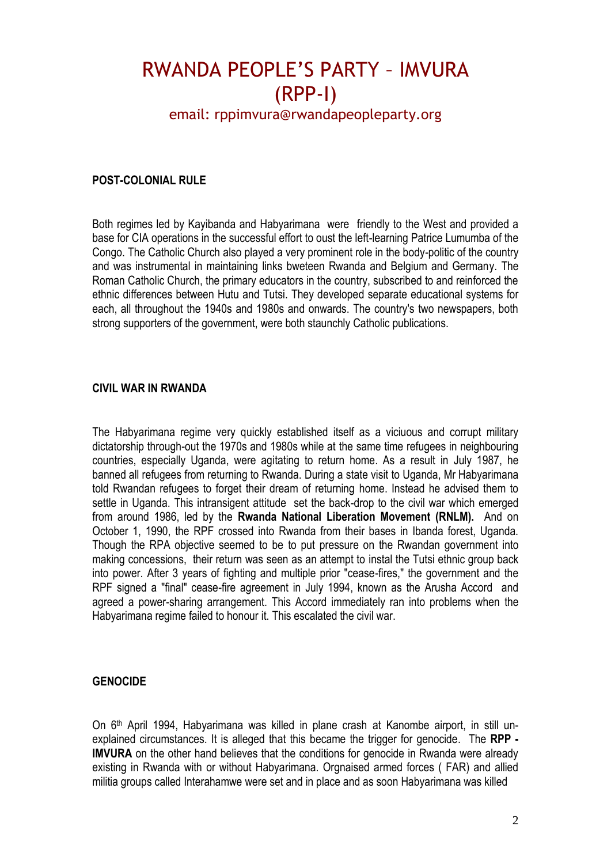## email: rppimvura@rwandapeopleparty.org

#### **POST-COLONIAL RULE**

Both regimes led by Kayibanda and Habyarimana were friendly to the West and provided a base for CIA operations in the successful effort to oust the left-learning Patrice Lumumba of the Congo. The Catholic Church also played a very prominent role in the body-politic of the country and was instrumental in maintaining links bweteen Rwanda and Belgium and Germany. The Roman Catholic Church, the primary educators in the country, subscribed to and reinforced the ethnic differences between Hutu and Tutsi. They developed separate educational systems for each, all throughout the 1940s and 1980s and onwards. The country's two newspapers, both strong supporters of the government, were both staunchly Catholic publications.

#### **CIVIL WAR IN RWANDA**

The Habyarimana regime very quickly established itself as a viciuous and corrupt military dictatorship through-out the 1970s and 1980s while at the same time refugees in neighbouring countries, especially Uganda, were agitating to return home. As a result in July 1987, he banned all refugees from returning to Rwanda. During a state visit to Uganda, Mr Habyarimana told Rwandan refugees to forget their dream of returning home. Instead he advised them to settle in Uganda. This intransigent attitude set the back-drop to the civil war which emerged from around 1986, led by the **Rwanda National Liberation Movement (RNLM).** And on October 1, 1990, the RPF crossed into Rwanda from their bases in Ibanda forest, Uganda. Though the RPA objective seemed to be to put pressure on the Rwandan government into making concessions, their return was seen as an attempt to instal the Tutsi ethnic group back into power. After 3 years of fighting and multiple prior "cease-fires," the government and the RPF signed a "final" cease-fire agreement in July 1994, known as the Arusha Accord and agreed a power-sharing arrangement. This Accord immediately ran into problems when the Habyarimana regime failed to honour it. This escalated the civil war.

#### **GENOCIDE**

On 6<sup>th</sup> April 1994, Habyarimana was killed in plane crash at Kanombe airport, in still unexplained circumstances. It is alleged that this became the trigger for genocide. The **RPP - IMVURA** on the other hand believes that the conditions for genocide in Rwanda were already existing in Rwanda with or without Habyarimana. Orgnaised armed forces ( FAR) and allied militia groups called Interahamwe were set and in place and as soon Habyarimana was killed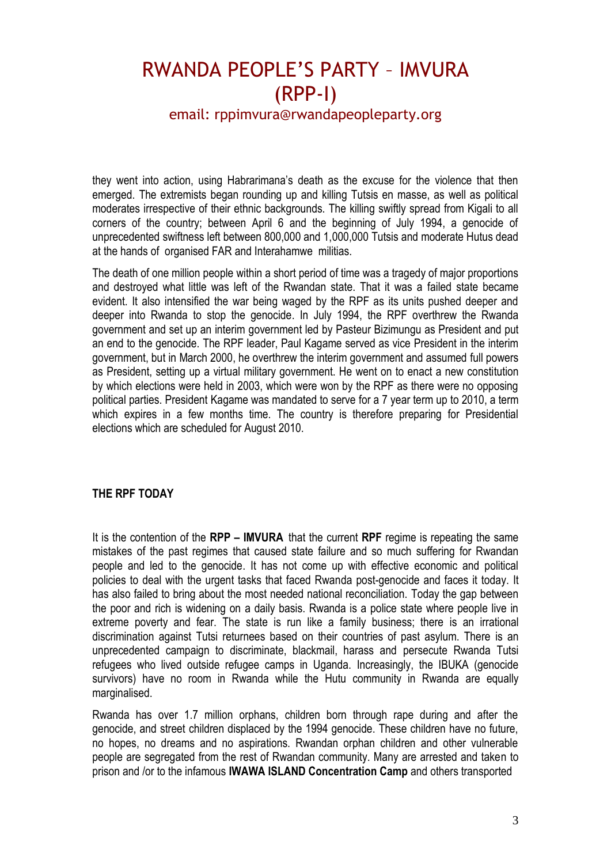## email: rppimvura@rwandapeopleparty.org

they went into action, using Habrarimana's death as the excuse for the violence that then emerged. The extremists began rounding up and killing Tutsis en masse, as well as political moderates irrespective of their ethnic backgrounds. The killing swiftly spread from Kigali to all corners of the country; between April 6 and the beginning of July 1994, a genocide of unprecedented swiftness left between 800,000 and 1,000,000 Tutsis and moderate Hutus dead at the hands of organised FAR and Interahamwe militias.

The death of one million people within a short period of time was a tragedy of major proportions and destroyed what little was left of the Rwandan state. That it was a failed state became evident. It also intensified the war being waged by the RPF as its units pushed deeper and deeper into Rwanda to stop the genocide. In July 1994, the RPF overthrew the Rwanda government and set up an interim government led by Pasteur Bizimungu as President and put an end to the genocide. The RPF leader, Paul Kagame served as vice President in the interim government, but in March 2000, he overthrew the interim government and assumed full powers as President, setting up a virtual military government. He went on to enact a new constitution by which elections were held in 2003, which were won by the RPF as there were no opposing political parties. President Kagame was mandated to serve for a 7 year term up to 2010, a term which expires in a few months time. The country is therefore preparing for Presidential elections which are scheduled for August 2010.

#### **THE RPF TODAY**

It is the contention of the **RPP – IMVURA** that the current **RPF** regime is repeating the same mistakes of the past regimes that caused state failure and so much suffering for Rwandan people and led to the genocide. It has not come up with effective economic and political policies to deal with the urgent tasks that faced Rwanda post-genocide and faces it today. It has also failed to bring about the most needed national reconciliation. Today the gap between the poor and rich is widening on a daily basis. Rwanda is a police state where people live in extreme poverty and fear. The state is run like a family business; there is an irrational discrimination against Tutsi returnees based on their countries of past asylum. There is an unprecedented campaign to discriminate, blackmail, harass and persecute Rwanda Tutsi refugees who lived outside refugee camps in Uganda. Increasingly, the IBUKA (genocide survivors) have no room in Rwanda while the Hutu community in Rwanda are equally marginalised.

Rwanda has over 1.7 million orphans, children born through rape during and after the genocide, and street children displaced by the 1994 genocide. These children have no future, no hopes, no dreams and no aspirations. Rwandan orphan children and other vulnerable people are segregated from the rest of Rwandan community. Many are arrested and taken to prison and /or to the infamous **IWAWA ISLAND Concentration Camp** and others transported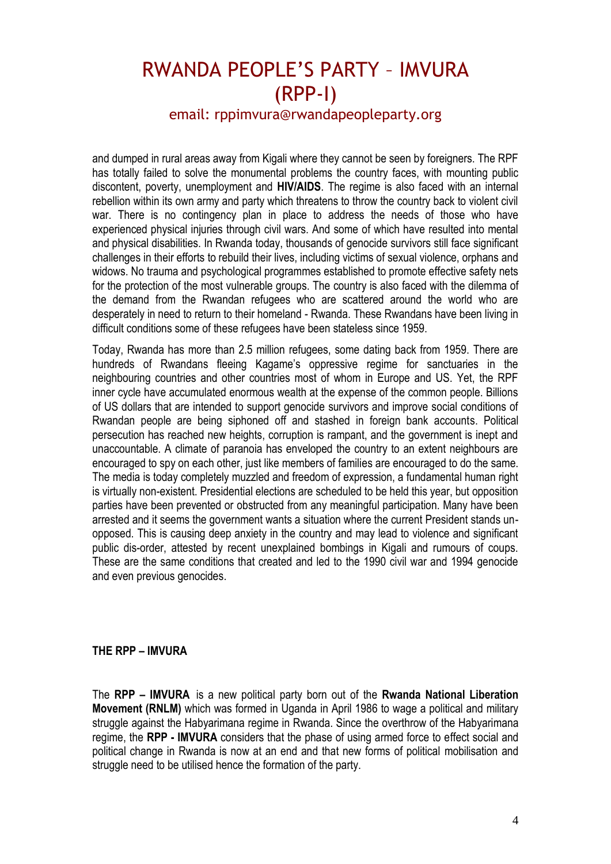### email: rppimvura@rwandapeopleparty.org

and dumped in rural areas away from Kigali where they cannot be seen by foreigners. The RPF has totally failed to solve the monumental problems the country faces, with mounting public discontent, poverty, unemployment and **HIV/AIDS**. The regime is also faced with an internal rebellion within its own army and party which threatens to throw the country back to violent civil war. There is no contingency plan in place to address the needs of those who have experienced physical injuries through civil wars. And some of which have resulted into mental and physical disabilities. In Rwanda today, thousands of genocide survivors still face significant challenges in their efforts to rebuild their lives, including victims of sexual violence, orphans and widows. No trauma and psychological programmes established to promote effective safety nets for the protection of the most vulnerable groups. The country is also faced with the dilemma of the demand from the Rwandan refugees who are scattered around the world who are desperately in need to return to their homeland - Rwanda. These Rwandans have been living in difficult conditions some of these refugees have been stateless since 1959.

Today, Rwanda has more than 2.5 million refugees, some dating back from 1959. There are hundreds of Rwandans fleeing Kagame's oppressive regime for sanctuaries in the neighbouring countries and other countries most of whom in Europe and US. Yet, the RPF inner cycle have accumulated enormous wealth at the expense of the common people. Billions of US dollars that are intended to support genocide survivors and improve social conditions of Rwandan people are being siphoned off and stashed in foreign bank accounts. Political persecution has reached new heights, corruption is rampant, and the government is inept and unaccountable. A climate of paranoia has enveloped the country to an extent neighbours are encouraged to spy on each other, just like members of families are encouraged to do the same. The media is today completely muzzled and freedom of expression, a fundamental human right is virtually non-existent. Presidential elections are scheduled to be held this year, but opposition parties have been prevented or obstructed from any meaningful participation. Many have been arrested and it seems the government wants a situation where the current President stands unopposed. This is causing deep anxiety in the country and may lead to violence and significant public dis-order, attested by recent unexplained bombings in Kigali and rumours of coups. These are the same conditions that created and led to the 1990 civil war and 1994 genocide and even previous genocides.

#### **THE RPP – IMVURA**

The **RPP – IMVURA** is a new political party born out of the **Rwanda National Liberation Movement (RNLM)** which was formed in Uganda in April 1986 to wage a political and military struggle against the Habyarimana regime in Rwanda. Since the overthrow of the Habyarimana regime, the **RPP - IMVURA** considers that the phase of using armed force to effect social and political change in Rwanda is now at an end and that new forms of political mobilisation and struggle need to be utilised hence the formation of the party.